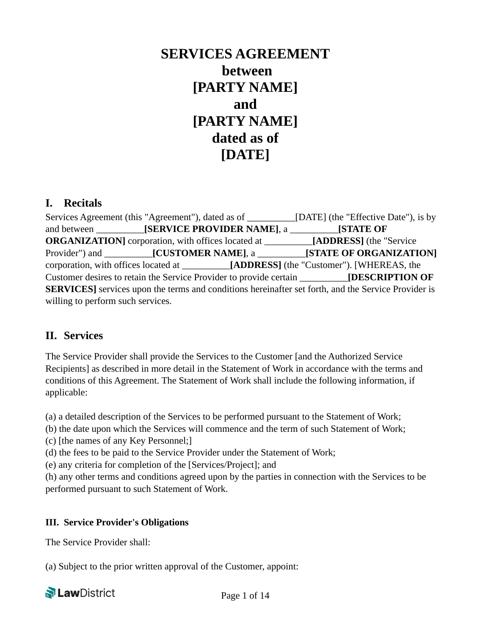# **SERVICES AGREEMENT between [PARTY NAME] and [PARTY NAME] dated as of [DATE]**

#### **I. Recitals**

Services Agreement (this "Agreement"), dated as of [DATE] (the "Effective Date"), is by and between \_\_\_\_\_\_\_\_\_\_**[SERVICE PROVIDER NAME]**, a \_\_\_\_\_\_\_\_\_\_**[STATE OF ORGANIZATION]** corporation, with offices located at \_\_\_\_\_\_\_\_\_\_**[ADDRESS]** (the "Service Provider") and \_\_\_\_\_\_\_\_\_\_**[CUSTOMER NAME]**, a \_\_\_\_\_\_\_\_\_\_**[STATE OF ORGANIZATION]** corporation, with offices located at **[ADDRESS]** (the "Customer"). [WHEREAS, the Customer desires to retain the Service Provider to provide certain \_\_\_\_\_\_\_\_\_\_**[DESCRIPTION OF SERVICES]** services upon the terms and conditions hereinafter set forth, and the Service Provider is willing to perform such services.

## **II. Services**

The Service Provider shall provide the Services to the Customer [and the Authorized Service Recipients] as described in more detail in the Statement of Work in accordance with the terms and conditions of this Agreement. The Statement of Work shall include the following information, if applicable:

(a) a detailed description of the Services to be performed pursuant to the Statement of Work;

(b) the date upon which the Services will commence and the term of such Statement of Work;

(c) [the names of any Key Personnel;]

(d) the fees to be paid to the Service Provider under the Statement of Work;

(e) any criteria for completion of the [Services/Project]; and

(h) any other terms and conditions agreed upon by the parties in connection with the Services to be performed pursuant to such Statement of Work.

#### **III. Service Provider's Obligations**

The Service Provider shall:

(a) Subject to the prior written approval of the Customer, appoint:

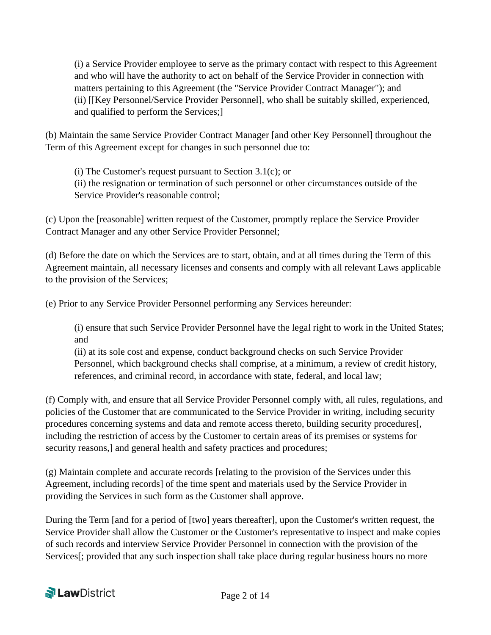(i) a Service Provider employee to serve as the primary contact with respect to this Agreement and who will have the authority to act on behalf of the Service Provider in connection with matters pertaining to this Agreement (the "Service Provider Contract Manager"); and (ii) [[Key Personnel/Service Provider Personnel], who shall be suitably skilled, experienced, and qualified to perform the Services;]

(b) Maintain the same Service Provider Contract Manager [and other Key Personnel] throughout the Term of this Agreement except for changes in such personnel due to:

(i) The Customer's request pursuant to Section  $3.1(c)$ ; or (ii) the resignation or termination of such personnel or other circumstances outside of the Service Provider's reasonable control;

(c) Upon the [reasonable] written request of the Customer, promptly replace the Service Provider Contract Manager and any other Service Provider Personnel;

(d) Before the date on which the Services are to start, obtain, and at all times during the Term of this Agreement maintain, all necessary licenses and consents and comply with all relevant Laws applicable to the provision of the Services;

(e) Prior to any Service Provider Personnel performing any Services hereunder:

(i) ensure that such Service Provider Personnel have the legal right to work in the United States; and

(ii) at its sole cost and expense, conduct background checks on such Service Provider Personnel, which background checks shall comprise, at a minimum, a review of credit history, references, and criminal record, in accordance with state, federal, and local law;

(f) Comply with, and ensure that all Service Provider Personnel comply with, all rules, regulations, and policies of the Customer that are communicated to the Service Provider in writing, including security procedures concerning systems and data and remote access thereto, building security procedures[, including the restriction of access by the Customer to certain areas of its premises or systems for security reasons,] and general health and safety practices and procedures;

(g) Maintain complete and accurate records [relating to the provision of the Services under this Agreement, including records] of the time spent and materials used by the Service Provider in providing the Services in such form as the Customer shall approve.

During the Term [and for a period of [two] years thereafter], upon the Customer's written request, the Service Provider shall allow the Customer or the Customer's representative to inspect and make copies of such records and interview Service Provider Personnel in connection with the provision of the Services[; provided that any such inspection shall take place during regular business hours no more

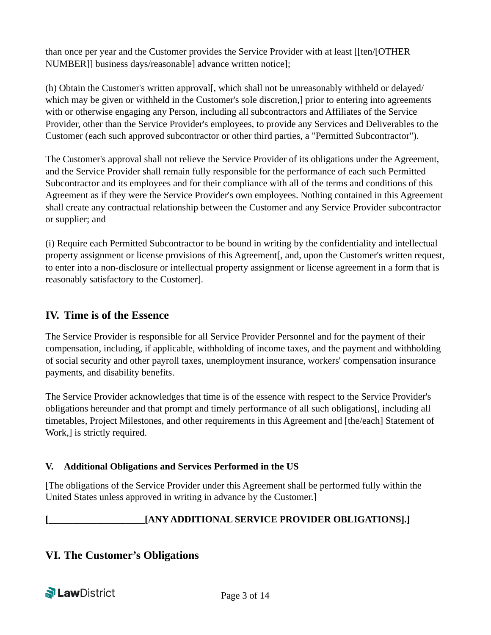than once per year and the Customer provides the Service Provider with at least [[ten/[OTHER NUMBER]] business days/reasonable] advance written notice];

(h) Obtain the Customer's written approval<sub>[</sub>, which shall not be unreasonably withheld or delayed/ which may be given or withheld in the Customer's sole discretion, prior to entering into agreements with or otherwise engaging any Person, including all subcontractors and Affiliates of the Service Provider, other than the Service Provider's employees, to provide any Services and Deliverables to the Customer (each such approved subcontractor or other third parties, a "Permitted Subcontractor").

The Customer's approval shall not relieve the Service Provider of its obligations under the Agreement, and the Service Provider shall remain fully responsible for the performance of each such Permitted Subcontractor and its employees and for their compliance with all of the terms and conditions of this Agreement as if they were the Service Provider's own employees. Nothing contained in this Agreement shall create any contractual relationship between the Customer and any Service Provider subcontractor or supplier; and

(i) Require each Permitted Subcontractor to be bound in writing by the confidentiality and intellectual property assignment or license provisions of this Agreement[, and, upon the Customer's written request, to enter into a non-disclosure or intellectual property assignment or license agreement in a form that is reasonably satisfactory to the Customer].

#### **IV. Time is of the Essence**

The Service Provider is responsible for all Service Provider Personnel and for the payment of their compensation, including, if applicable, withholding of income taxes, and the payment and withholding of social security and other payroll taxes, unemployment insurance, workers' compensation insurance payments, and disability benefits.

The Service Provider acknowledges that time is of the essence with respect to the Service Provider's obligations hereunder and that prompt and timely performance of all such obligations[, including all timetables, Project Milestones, and other requirements in this Agreement and [the/each] Statement of Work,] is strictly required.

#### **V. Additional Obligations and Services Performed in the US**

[The obligations of the Service Provider under this Agreement shall be performed fully within the United States unless approved in writing in advance by the Customer.]

## **[\_\_\_\_\_\_\_\_\_\_\_\_\_\_\_\_\_\_\_\_[ANY ADDITIONAL SERVICE PROVIDER OBLIGATIONS].]**

## **VI. The Customer's Obligations**

**N** LawDistrict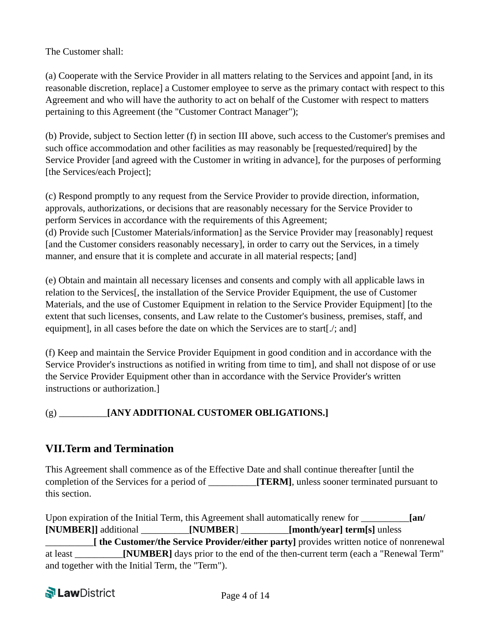The Customer shall:

(a) Cooperate with the Service Provider in all matters relating to the Services and appoint [and, in its reasonable discretion, replace] a Customer employee to serve as the primary contact with respect to this Agreement and who will have the authority to act on behalf of the Customer with respect to matters pertaining to this Agreement (the "Customer Contract Manager");

(b) Provide, subject to Section letter (f) in section III above, such access to the Customer's premises and such office accommodation and other facilities as may reasonably be [requested/required] by the Service Provider [and agreed with the Customer in writing in advance], for the purposes of performing [the Services/each Project];

(c) Respond promptly to any request from the Service Provider to provide direction, information, approvals, authorizations, or decisions that are reasonably necessary for the Service Provider to perform Services in accordance with the requirements of this Agreement; (d) Provide such [Customer Materials/information] as the Service Provider may [reasonably] request [and the Customer considers reasonably necessary], in order to carry out the Services, in a timely manner, and ensure that it is complete and accurate in all material respects; [and]

(e) Obtain and maintain all necessary licenses and consents and comply with all applicable laws in relation to the Services[, the installation of the Service Provider Equipment, the use of Customer Materials, and the use of Customer Equipment in relation to the Service Provider Equipment] [to the extent that such licenses, consents, and Law relate to the Customer's business, premises, staff, and equipment], in all cases before the date on which the Services are to start[...; and]

(f) Keep and maintain the Service Provider Equipment in good condition and in accordance with the Service Provider's instructions as notified in writing from time to tim], and shall not dispose of or use the Service Provider Equipment other than in accordance with the Service Provider's written instructions or authorization.]

## (g) \_\_\_\_\_\_\_\_\_\_**[ANY ADDITIONAL CUSTOMER OBLIGATIONS.]**

# **VII.Term and Termination**

This Agreement shall commence as of the Effective Date and shall continue thereafter [until the completion of the Services for a period of **[TERM]**, unless sooner terminated pursuant to this section.

Upon expiration of the Initial Term, this Agreement shall automatically renew for **[an/ [NUMBER]]** additional \_\_\_\_\_\_\_\_\_\_**[NUMBER**] \_\_\_\_\_\_\_\_\_\_**[month/year] term[s]** unless \_\_\_\_\_\_\_\_\_\_**[ the Customer/the Service Provider/either party]** provides written notice of nonrenewal at least \_\_\_\_\_\_\_\_\_\_**[NUMBER]** days prior to the end of the then-current term (each a "Renewal Term" and together with the Initial Term, the "Term").

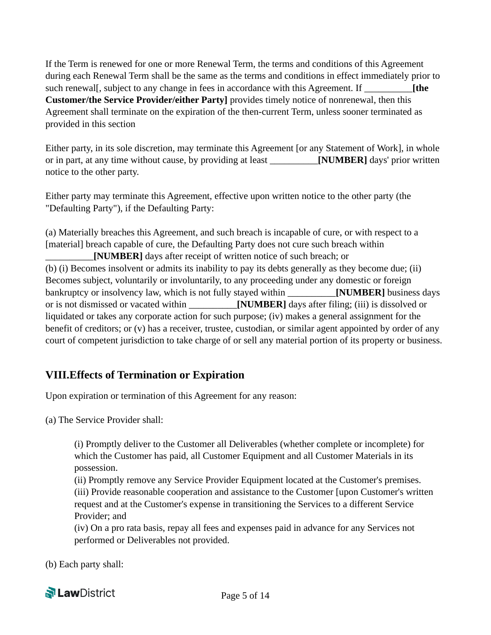If the Term is renewed for one or more Renewal Term, the terms and conditions of this Agreement during each Renewal Term shall be the same as the terms and conditions in effect immediately prior to such renewal<sup>[</sup>, subject to any change in fees in accordance with this Agreement. If **[**the **in Customer/the Service Provider/either Party]** provides timely notice of nonrenewal, then this Agreement shall terminate on the expiration of the then-current Term, unless sooner terminated as provided in this section

Either party, in its sole discretion, may terminate this Agreement [or any Statement of Work], in whole or in part, at any time without cause, by providing at least \_\_\_\_\_\_\_\_\_\_**[NUMBER]** days' prior written notice to the other party.

Either party may terminate this Agreement, effective upon written notice to the other party (the "Defaulting Party"), if the Defaulting Party:

(a) Materially breaches this Agreement, and such breach is incapable of cure, or with respect to a [material] breach capable of cure, the Defaulting Party does not cure such breach within \_\_\_\_\_\_\_\_\_\_**[NUMBER]** days after receipt of written notice of such breach; or (b) (i) Becomes insolvent or admits its inability to pay its debts generally as they become due; (ii) Becomes subject, voluntarily or involuntarily, to any proceeding under any domestic or foreign bankruptcy or insolvency law, which is not fully stayed within \_\_\_\_\_\_\_\_\_\_**[NUMBER]** business days or is not dismissed or vacated within \_\_\_\_\_\_\_\_\_\_**[NUMBER]** days after filing; (iii) is dissolved or liquidated or takes any corporate action for such purpose; (iv) makes a general assignment for the benefit of creditors; or (v) has a receiver, trustee, custodian, or similar agent appointed by order of any court of competent jurisdiction to take charge of or sell any material portion of its property or business.

# **VIII.Effects of Termination or Expiration**

Upon expiration or termination of this Agreement for any reason:

(a) The Service Provider shall:

(i) Promptly deliver to the Customer all Deliverables (whether complete or incomplete) for which the Customer has paid, all Customer Equipment and all Customer Materials in its possession.

(ii) Promptly remove any Service Provider Equipment located at the Customer's premises. (iii) Provide reasonable cooperation and assistance to the Customer [upon Customer's written request and at the Customer's expense in transitioning the Services to a different Service Provider; and

(iv) On a pro rata basis, repay all fees and expenses paid in advance for any Services not performed or Deliverables not provided.

(b) Each party shall:

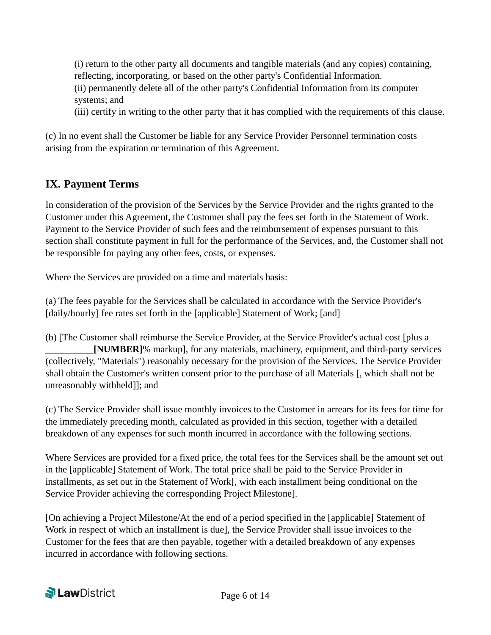(i) return to the other party all documents and tangible materials (and any copies) containing, reflecting, incorporating, or based on the other party's Confidential Information. (ii) permanently delete all of the other party's Confidential Information from its computer systems; and

(iii) certify in writing to the other party that it has complied with the requirements of this clause.

(c) In no event shall the Customer be liable for any Service Provider Personnel termination costs arising from the expiration or termination of this Agreement.

## **IX. Payment Terms**

In consideration of the provision of the Services by the Service Provider and the rights granted to the Customer under this Agreement, the Customer shall pay the fees set forth in the Statement of Work. Payment to the Service Provider of such fees and the reimbursement of expenses pursuant to this section shall constitute payment in full for the performance of the Services, and, the Customer shall not be responsible for paying any other fees, costs, or expenses.

Where the Services are provided on a time and materials basis:

(a) The fees payable for the Services shall be calculated in accordance with the Service Provider's [daily/hourly] fee rates set forth in the [applicable] Statement of Work; [and]

(b) [The Customer shall reimburse the Service Provider, at the Service Provider's actual cost [plus a \_\_\_\_\_\_\_\_\_\_**[NUMBER]**% markup], for any materials, machinery, equipment, and third-party services (collectively, "Materials") reasonably necessary for the provision of the Services. The Service Provider shall obtain the Customer's written consent prior to the purchase of all Materials [, which shall not be unreasonably withheld]]; and

(c) The Service Provider shall issue monthly invoices to the Customer in arrears for its fees for time for the immediately preceding month, calculated as provided in this section, together with a detailed breakdown of any expenses for such month incurred in accordance with the following sections.

Where Services are provided for a fixed price, the total fees for the Services shall be the amount set out in the [applicable] Statement of Work. The total price shall be paid to the Service Provider in installments, as set out in the Statement of Work[, with each installment being conditional on the Service Provider achieving the corresponding Project Milestone].

[On achieving a Project Milestone/At the end of a period specified in the [applicable] Statement of Work in respect of which an installment is due], the Service Provider shall issue invoices to the Customer for the fees that are then payable, together with a detailed breakdown of any expenses incurred in accordance with following sections.

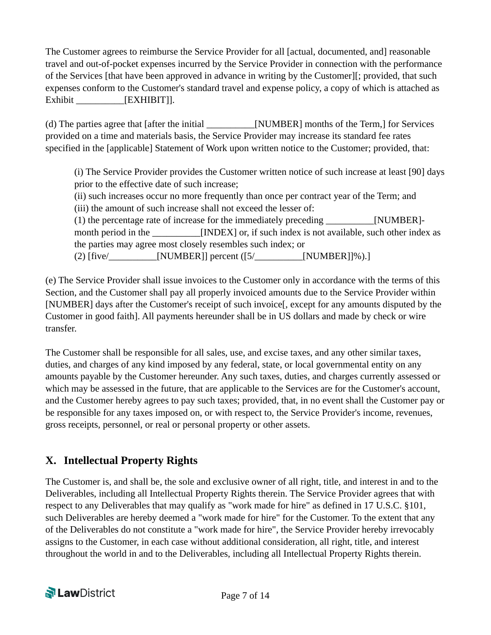The Customer agrees to reimburse the Service Provider for all [actual, documented, and] reasonable travel and out-of-pocket expenses incurred by the Service Provider in connection with the performance of the Services [that have been approved in advance in writing by the Customer][; provided, that such expenses conform to the Customer's standard travel and expense policy, a copy of which is attached as Exhibit **EXHIBIT**].

(d) The parties agree that [after the initial [NUMBER] months of the Term,] for Services provided on a time and materials basis, the Service Provider may increase its standard fee rates specified in the [applicable] Statement of Work upon written notice to the Customer; provided, that:

(i) The Service Provider provides the Customer written notice of such increase at least [90] days prior to the effective date of such increase;

(ii) such increases occur no more frequently than once per contract year of the Term; and (iii) the amount of such increase shall not exceed the lesser of:

(1) the percentage rate of increase for the immediately preceding \_\_\_\_\_\_\_\_\_\_[NUMBER] month period in the **INDEX** or, if such index is not available, such other index as the parties may agree most closely resembles such index; or (2) [five/\_\_\_\_\_\_\_\_\_\_[NUMBER]] percent ([5/\_\_\_\_\_\_\_\_\_\_[NUMBER]]%).]

(e) The Service Provider shall issue invoices to the Customer only in accordance with the terms of this Section, and the Customer shall pay all properly invoiced amounts due to the Service Provider within [NUMBER] days after the Customer's receipt of such invoice[, except for any amounts disputed by the Customer in good faith]. All payments hereunder shall be in US dollars and made by check or wire transfer.

The Customer shall be responsible for all sales, use, and excise taxes, and any other similar taxes, duties, and charges of any kind imposed by any federal, state, or local governmental entity on any amounts payable by the Customer hereunder. Any such taxes, duties, and charges currently assessed or which may be assessed in the future, that are applicable to the Services are for the Customer's account, and the Customer hereby agrees to pay such taxes; provided, that, in no event shall the Customer pay or be responsible for any taxes imposed on, or with respect to, the Service Provider's income, revenues, gross receipts, personnel, or real or personal property or other assets.

# **X. Intellectual Property Rights**

The Customer is, and shall be, the sole and exclusive owner of all right, title, and interest in and to the Deliverables, including all Intellectual Property Rights therein. The Service Provider agrees that with respect to any Deliverables that may qualify as "work made for hire" as defined in 17 U.S.C. §101, such Deliverables are hereby deemed a "work made for hire" for the Customer. To the extent that any of the Deliverables do not constitute a "work made for hire", the Service Provider hereby irrevocably assigns to the Customer, in each case without additional consideration, all right, title, and interest throughout the world in and to the Deliverables, including all Intellectual Property Rights therein.

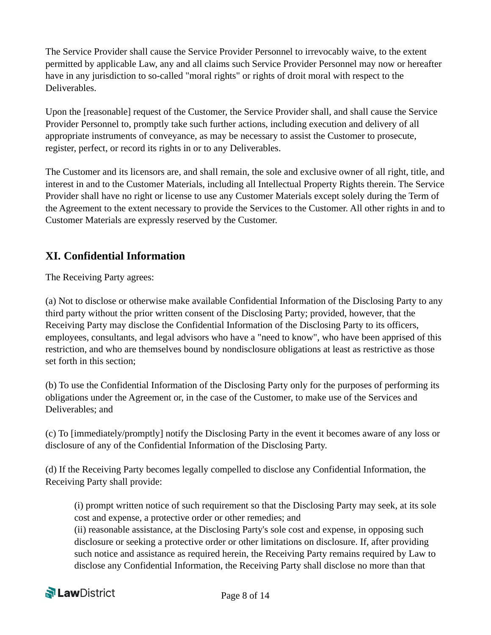The Service Provider shall cause the Service Provider Personnel to irrevocably waive, to the extent permitted by applicable Law, any and all claims such Service Provider Personnel may now or hereafter have in any jurisdiction to so-called "moral rights" or rights of droit moral with respect to the Deliverables.

Upon the [reasonable] request of the Customer, the Service Provider shall, and shall cause the Service Provider Personnel to, promptly take such further actions, including execution and delivery of all appropriate instruments of conveyance, as may be necessary to assist the Customer to prosecute, register, perfect, or record its rights in or to any Deliverables.

The Customer and its licensors are, and shall remain, the sole and exclusive owner of all right, title, and interest in and to the Customer Materials, including all Intellectual Property Rights therein. The Service Provider shall have no right or license to use any Customer Materials except solely during the Term of the Agreement to the extent necessary to provide the Services to the Customer. All other rights in and to Customer Materials are expressly reserved by the Customer.

# **XI. Confidential Information**

The Receiving Party agrees:

(a) Not to disclose or otherwise make available Confidential Information of the Disclosing Party to any third party without the prior written consent of the Disclosing Party; provided, however, that the Receiving Party may disclose the Confidential Information of the Disclosing Party to its officers, employees, consultants, and legal advisors who have a "need to know", who have been apprised of this restriction, and who are themselves bound by nondisclosure obligations at least as restrictive as those set forth in this section;

(b) To use the Confidential Information of the Disclosing Party only for the purposes of performing its obligations under the Agreement or, in the case of the Customer, to make use of the Services and Deliverables; and

(c) To [immediately/promptly] notify the Disclosing Party in the event it becomes aware of any loss or disclosure of any of the Confidential Information of the Disclosing Party.

(d) If the Receiving Party becomes legally compelled to disclose any Confidential Information, the Receiving Party shall provide:

(i) prompt written notice of such requirement so that the Disclosing Party may seek, at its sole cost and expense, a protective order or other remedies; and

(ii) reasonable assistance, at the Disclosing Party's sole cost and expense, in opposing such disclosure or seeking a protective order or other limitations on disclosure. If, after providing such notice and assistance as required herein, the Receiving Party remains required by Law to disclose any Confidential Information, the Receiving Party shall disclose no more than that

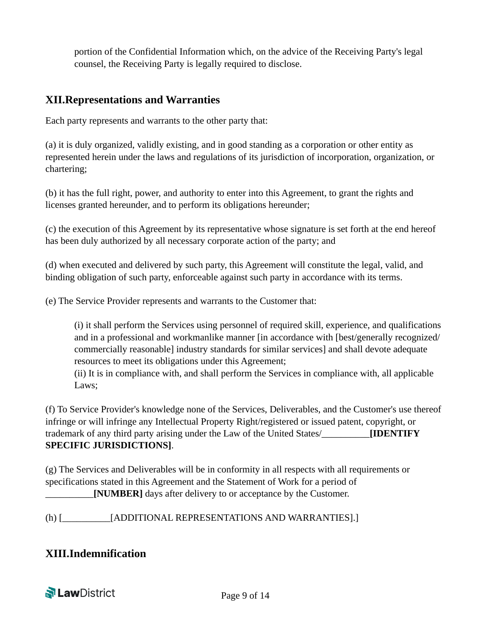portion of the Confidential Information which, on the advice of the Receiving Party's legal counsel, the Receiving Party is legally required to disclose.

#### **XII.Representations and Warranties**

Each party represents and warrants to the other party that:

(a) it is duly organized, validly existing, and in good standing as a corporation or other entity as represented herein under the laws and regulations of its jurisdiction of incorporation, organization, or chartering;

(b) it has the full right, power, and authority to enter into this Agreement, to grant the rights and licenses granted hereunder, and to perform its obligations hereunder;

(c) the execution of this Agreement by its representative whose signature is set forth at the end hereof has been duly authorized by all necessary corporate action of the party; and

(d) when executed and delivered by such party, this Agreement will constitute the legal, valid, and binding obligation of such party, enforceable against such party in accordance with its terms.

(e) The Service Provider represents and warrants to the Customer that:

(i) it shall perform the Services using personnel of required skill, experience, and qualifications and in a professional and workmanlike manner [in accordance with [best/generally recognized/ commercially reasonable] industry standards for similar services] and shall devote adequate resources to meet its obligations under this Agreement;

(ii) It is in compliance with, and shall perform the Services in compliance with, all applicable Laws;

(f) To Service Provider's knowledge none of the Services, Deliverables, and the Customer's use thereof infringe or will infringe any Intellectual Property Right/registered or issued patent, copyright, or trademark of any third party arising under the Law of the United States/\_\_\_\_\_\_\_\_\_\_**[IDENTIFY SPECIFIC JURISDICTIONS]**.

(g) The Services and Deliverables will be in conformity in all respects with all requirements or specifications stated in this Agreement and the Statement of Work for a period of \_\_\_\_\_\_\_\_\_\_**[NUMBER]** days after delivery to or acceptance by the Customer.

(h) [\_\_\_\_\_\_\_\_\_\_[ADDITIONAL REPRESENTATIONS AND WARRANTIES].]

## **XIII.Indemnification**

**N** LawDistrict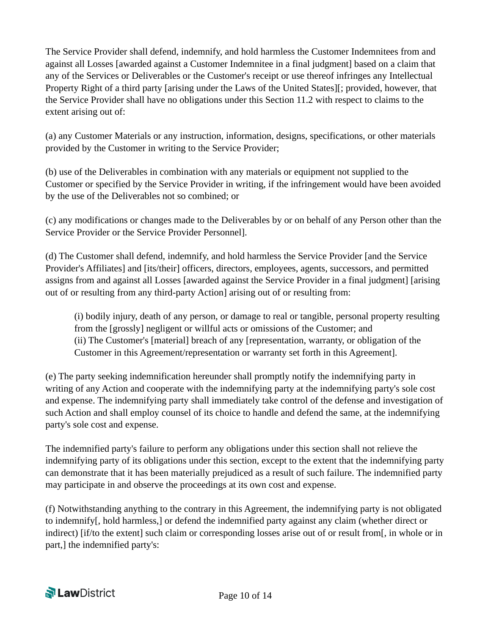The Service Provider shall defend, indemnify, and hold harmless the Customer Indemnitees from and against all Losses [awarded against a Customer Indemnitee in a final judgment] based on a claim that any of the Services or Deliverables or the Customer's receipt or use thereof infringes any Intellectual Property Right of a third party [arising under the Laws of the United States][; provided, however, that the Service Provider shall have no obligations under this Section 11.2 with respect to claims to the extent arising out of:

(a) any Customer Materials or any instruction, information, designs, specifications, or other materials provided by the Customer in writing to the Service Provider;

(b) use of the Deliverables in combination with any materials or equipment not supplied to the Customer or specified by the Service Provider in writing, if the infringement would have been avoided by the use of the Deliverables not so combined; or

(c) any modifications or changes made to the Deliverables by or on behalf of any Person other than the Service Provider or the Service Provider Personnel].

(d) The Customer shall defend, indemnify, and hold harmless the Service Provider [and the Service Provider's Affiliates] and [its/their] officers, directors, employees, agents, successors, and permitted assigns from and against all Losses [awarded against the Service Provider in a final judgment] [arising out of or resulting from any third-party Action] arising out of or resulting from:

(i) bodily injury, death of any person, or damage to real or tangible, personal property resulting from the [grossly] negligent or willful acts or omissions of the Customer; and (ii) The Customer's [material] breach of any [representation, warranty, or obligation of the Customer in this Agreement/representation or warranty set forth in this Agreement].

(e) The party seeking indemnification hereunder shall promptly notify the indemnifying party in writing of any Action and cooperate with the indemnifying party at the indemnifying party's sole cost and expense. The indemnifying party shall immediately take control of the defense and investigation of such Action and shall employ counsel of its choice to handle and defend the same, at the indemnifying party's sole cost and expense.

The indemnified party's failure to perform any obligations under this section shall not relieve the indemnifying party of its obligations under this section, except to the extent that the indemnifying party can demonstrate that it has been materially prejudiced as a result of such failure. The indemnified party may participate in and observe the proceedings at its own cost and expense.

(f) Notwithstanding anything to the contrary in this Agreement, the indemnifying party is not obligated to indemnify[, hold harmless,] or defend the indemnified party against any claim (whether direct or indirect) [if/to the extent] such claim or corresponding losses arise out of or result from[, in whole or in part,] the indemnified party's:

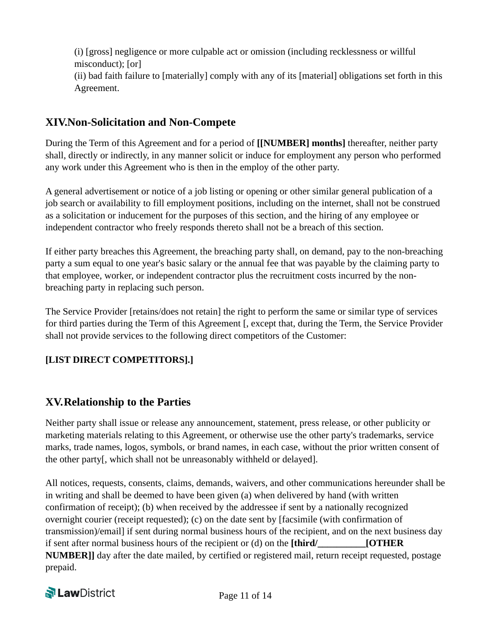(i) [gross] negligence or more culpable act or omission (including recklessness or willful misconduct); [or] (ii) bad faith failure to [materially] comply with any of its [material] obligations set forth in this Agreement.

## **XIV.Non-Solicitation and Non-Compete**

During the Term of this Agreement and for a period of **[[NUMBER] months]** thereafter, neither party shall, directly or indirectly, in any manner solicit or induce for employment any person who performed any work under this Agreement who is then in the employ of the other party.

A general advertisement or notice of a job listing or opening or other similar general publication of a job search or availability to fill employment positions, including on the internet, shall not be construed as a solicitation or inducement for the purposes of this section, and the hiring of any employee or independent contractor who freely responds thereto shall not be a breach of this section.

If either party breaches this Agreement, the breaching party shall, on demand, pay to the non-breaching party a sum equal to one year's basic salary or the annual fee that was payable by the claiming party to that employee, worker, or independent contractor plus the recruitment costs incurred by the nonbreaching party in replacing such person.

The Service Provider [retains/does not retain] the right to perform the same or similar type of services for third parties during the Term of this Agreement [, except that, during the Term, the Service Provider shall not provide services to the following direct competitors of the Customer:

#### **[LIST DIRECT COMPETITORS].]**

## **XV.Relationship to the Parties**

Neither party shall issue or release any announcement, statement, press release, or other publicity or marketing materials relating to this Agreement, or otherwise use the other party's trademarks, service marks, trade names, logos, symbols, or brand names, in each case, without the prior written consent of the other party[, which shall not be unreasonably withheld or delayed].

All notices, requests, consents, claims, demands, waivers, and other communications hereunder shall be in writing and shall be deemed to have been given (a) when delivered by hand (with written confirmation of receipt); (b) when received by the addressee if sent by a nationally recognized overnight courier (receipt requested); (c) on the date sent by [facsimile (with confirmation of transmission)/email] if sent during normal business hours of the recipient, and on the next business day if sent after normal business hours of the recipient or (d) on the **[third/ [OTHER NUMBER]]** day after the date mailed, by certified or registered mail, return receipt requested, postage prepaid.

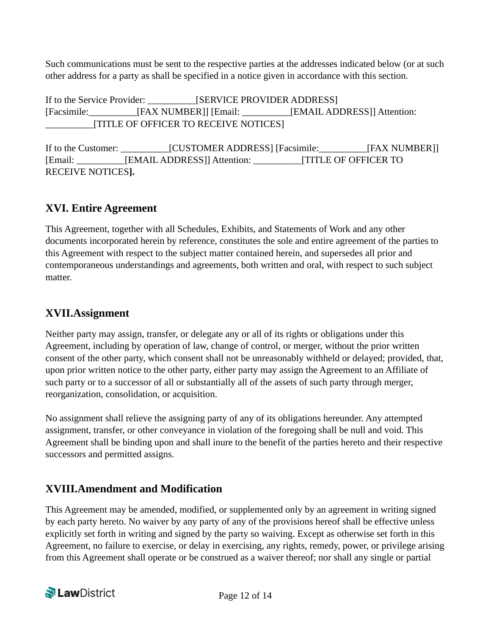Such communications must be sent to the respective parties at the addresses indicated below (or at such other address for a party as shall be specified in a notice given in accordance with this section.

If to the Service Provider: [SERVICE PROVIDER ADDRESS] [Facsimile:\_\_\_\_\_\_\_\_\_\_[FAX NUMBER]] [Email: \_\_\_\_\_\_\_\_\_\_[EMAIL ADDRESS]] Attention: \_\_\_\_\_\_\_\_\_\_[TITLE OF OFFICER TO RECEIVE NOTICES]

If to the Customer: \_\_\_\_\_\_\_\_\_\_[CUSTOMER ADDRESS] [Facsimile:\_\_\_\_\_\_\_\_\_\_[FAX NUMBER]] [Email: \_\_\_\_\_\_\_\_\_\_[EMAIL ADDRESS]] Attention: \_\_\_\_\_\_\_\_\_\_[TITLE OF OFFICER TO RECEIVE NOTICES**].**

# **XVI. Entire Agreement**

This Agreement, together with all Schedules, Exhibits, and Statements of Work and any other documents incorporated herein by reference, constitutes the sole and entire agreement of the parties to this Agreement with respect to the subject matter contained herein, and supersedes all prior and contemporaneous understandings and agreements, both written and oral, with respect to such subject matter.

## **XVII.Assignment**

Neither party may assign, transfer, or delegate any or all of its rights or obligations under this Agreement, including by operation of law, change of control, or merger, without the prior written consent of the other party, which consent shall not be unreasonably withheld or delayed; provided, that, upon prior written notice to the other party, either party may assign the Agreement to an Affiliate of such party or to a successor of all or substantially all of the assets of such party through merger, reorganization, consolidation, or acquisition.

No assignment shall relieve the assigning party of any of its obligations hereunder. Any attempted assignment, transfer, or other conveyance in violation of the foregoing shall be null and void. This Agreement shall be binding upon and shall inure to the benefit of the parties hereto and their respective successors and permitted assigns.

# **XVIII.Amendment and Modification**

This Agreement may be amended, modified, or supplemented only by an agreement in writing signed by each party hereto. No waiver by any party of any of the provisions hereof shall be effective unless explicitly set forth in writing and signed by the party so waiving. Except as otherwise set forth in this Agreement, no failure to exercise, or delay in exercising, any rights, remedy, power, or privilege arising from this Agreement shall operate or be construed as a waiver thereof; nor shall any single or partial

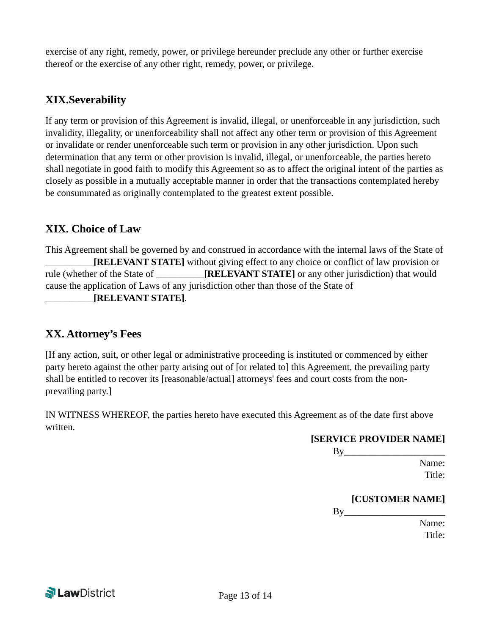exercise of any right, remedy, power, or privilege hereunder preclude any other or further exercise thereof or the exercise of any other right, remedy, power, or privilege.

#### **XIX.Severability**

If any term or provision of this Agreement is invalid, illegal, or unenforceable in any jurisdiction, such invalidity, illegality, or unenforceability shall not affect any other term or provision of this Agreement or invalidate or render unenforceable such term or provision in any other jurisdiction. Upon such determination that any term or other provision is invalid, illegal, or unenforceable, the parties hereto shall negotiate in good faith to modify this Agreement so as to affect the original intent of the parties as closely as possible in a mutually acceptable manner in order that the transactions contemplated hereby be consummated as originally contemplated to the greatest extent possible.

## **XIX. Choice of Law**

This Agreement shall be governed by and construed in accordance with the internal laws of the State of \_\_\_\_\_\_\_\_\_\_**[RELEVANT STATE]** without giving effect to any choice or conflict of law provision or rule (whether of the State of **[RELEVANT STATE]** or any other jurisdiction) that would cause the application of Laws of any jurisdiction other than those of the State of \_\_\_\_\_\_\_\_\_\_**[RELEVANT STATE]**.

## **XX. Attorney's Fees**

[If any action, suit, or other legal or administrative proceeding is instituted or commenced by either party hereto against the other party arising out of [or related to] this Agreement, the prevailing party shall be entitled to recover its [reasonable/actual] attorneys' fees and court costs from the nonprevailing party.]

IN WITNESS WHEREOF, the parties hereto have executed this Agreement as of the date first above written.

#### **[SERVICE PROVIDER NAME]**

 By\_\_\_\_\_\_\_\_\_\_\_\_\_\_\_\_\_\_\_\_\_ Name: **Title:** 

#### **[CUSTOMER NAME]**

 $\mathbf{By}$ 

 Name: **Title:**